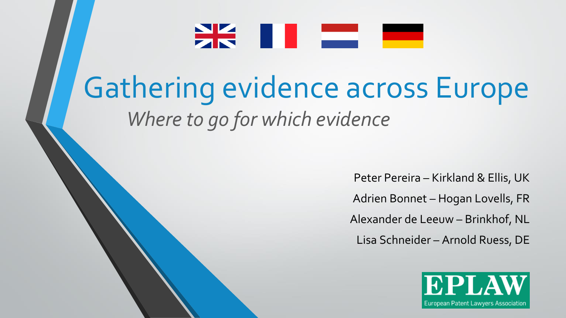

# Gathering evidence across Europe *Where to go for which evidence*

Peter Pereira – Kirkland & Ellis, UK Adrien Bonnet – Hogan Lovells, FR Alexander de Leeuw – Brinkhof, NL Lisa Schneider – Arnold Ruess, DE

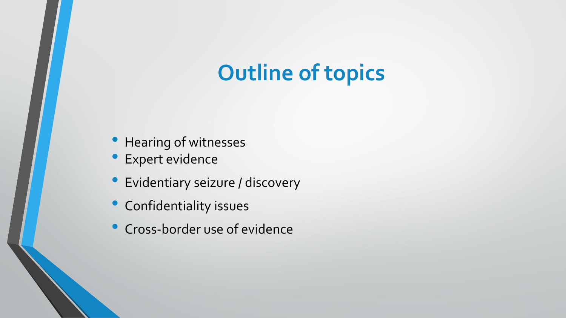### **Outline of topics**

- Hearing of witnesses
- Expert evidence
- Evidentiary seizure / discovery
- Confidentiality issues
- Cross-border use of evidence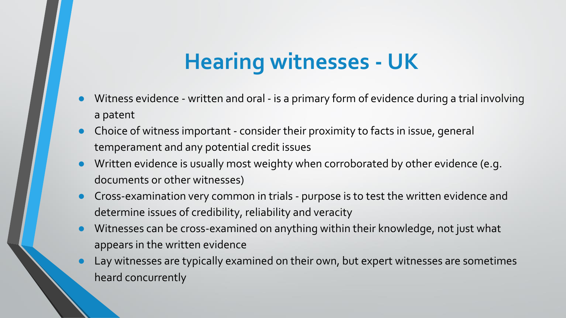## **Hearing witnesses - UK**

- Witness evidence written and oral is a primary form of evidence during a trial involving a patent
- Choice of witness important consider their proximity to facts in issue, general temperament and any potential credit issues
- Written evidence is usually most weighty when corroborated by other evidence (e.g. documents or other witnesses)
- Cross-examination very common in trials purpose is to test the written evidence and determine issues of credibility, reliability and veracity
- Witnesses can be cross-examined on anything within their knowledge, not just what appears in the written evidence
- Lay witnesses are typically examined on their own, but expert witnesses are sometimes heard concurrently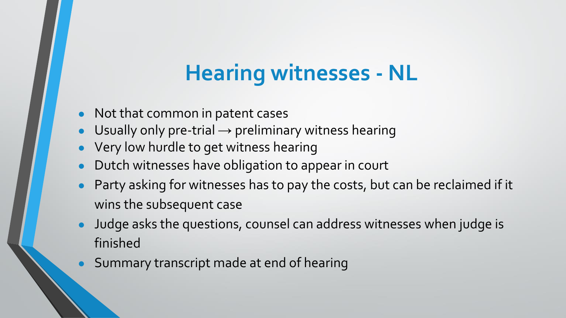## **Hearing witnesses - NL**

- Not that common in patent cases
- Usually only pre-trial  $\rightarrow$  preliminary witness hearing
- Very low hurdle to get witness hearing
- Dutch witnesses have obligation to appear in court
- Party asking for witnesses has to pay the costs, but can be reclaimed if it wins the subsequent case
- Judge asks the questions, counsel can address witnesses when judge is finished
- Summary transcript made at end of hearing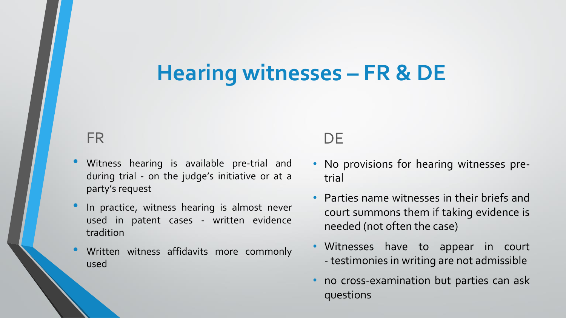### **Hearing witnesses – FR & DE**

#### FR

- Witness hearing is available pre-trial and during trial - on the judge's initiative or at a party's request
- In practice, witness hearing is almost never used in patent cases - written evidence tradition
- Written witness affidavits more commonly used

#### **DE**

- No provisions for hearing witnesses pretrial
- Parties name witnesses in their briefs and court summons them if taking evidence is needed (not often the case)
- Witnesses have to appear in court - testimonies in writing are not admissible
- no cross-examination but parties can ask questions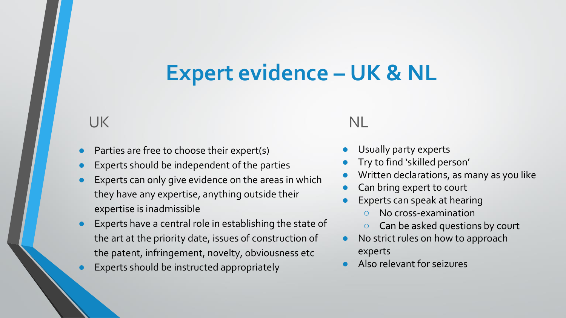### **Expert evidence – UK & NL**

#### UK

- Parties are free to choose their expert(s)
- Experts should be independent of the parties
- Experts can only give evidence on the areas in which they have any expertise, anything outside their expertise is inadmissible
- Experts have a central role in establishing the state of the art at the priority date, issues of construction of the patent, infringement, novelty, obviousness etc
- Experts should be instructed appropriately

#### NL

- Usually party experts
- Try to find 'skilled person'
- Written declarations, as many as you like
- Can bring expert to court
- Experts can speak at hearing
	- No cross-examination
	- Can be asked questions by court
- No strict rules on how to approach experts
- Also relevant for seizures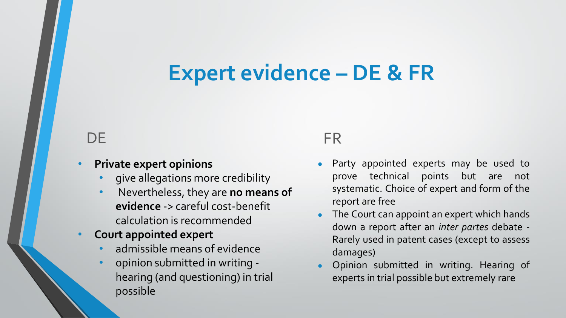### **Expert evidence – DE & FR**

#### **DE**

#### • **Private expert opinions**

- give allegations more credibility
- Nevertheless, they are **no means of evidence** -> careful cost-benefit calculation is recommended
- **Court appointed expert** 
	- admissible means of evidence
	- opinion submitted in writing hearing (and questioning) in trial possible

#### FR

- Party appointed experts may be used to prove technical points but are not systematic. Choice of expert and form of the report are free
- The Court can appoint an expert which hands down a report after an *inter partes* debate - Rarely used in patent cases (except to assess damages)
- Opinion submitted in writing. Hearing of experts in trial possible but extremely rare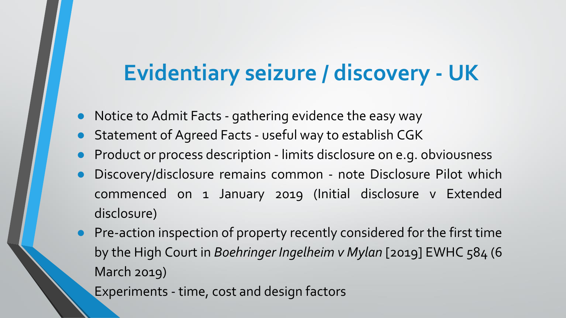### **Evidentiary seizure / discovery - UK**

- Notice to Admit Facts gathering evidence the easy way
- Statement of Agreed Facts useful way to establish CGK
- Product or process description limits disclosure on e.g. obviousness
- Discovery/disclosure remains common note Disclosure Pilot which commenced on 1 January 2019 (Initial disclosure v Extended disclosure)
- Pre-action inspection of property recently considered for the first time by the High Court in *Boehringer Ingelheim v Mylan* [2019] EWHC 584 (6 March 2019)

Experiments - time, cost and design factors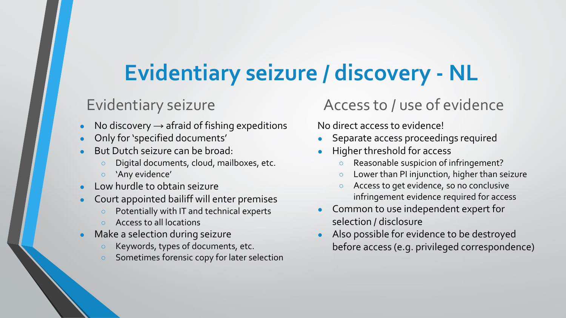## **Evidentiary seizure / discovery - NL**

#### Evidentiary seizure

- No discovery  $\rightarrow$  afraid of fishing expeditions
- Only for 'specified documents'
- But Dutch seizure can be broad:
	- Digital documents, cloud, mailboxes, etc.
	- 'Any evidence'
- Low hurdle to obtain seizure
- Court appointed bailiff will enter premises
	- Potentially with IT and technical experts
	- Access to all locations
- Make a selection during seizure
	- Keywords, types of documents, etc.
	- Sometimes forensic copy for later selection

#### Access to / use of evidence

No direct access to evidence!

- Separate access proceedings required
- Higher threshold for access
	- Reasonable suspicion of infringement?
	- Lower than PI injunction, higher than seizure
	- Access to get evidence, so no conclusive infringement evidence required for access
- Common to use independent expert for selection / disclosure
- Also possible for evidence to be destroyed before access (e.g. privileged correspondence)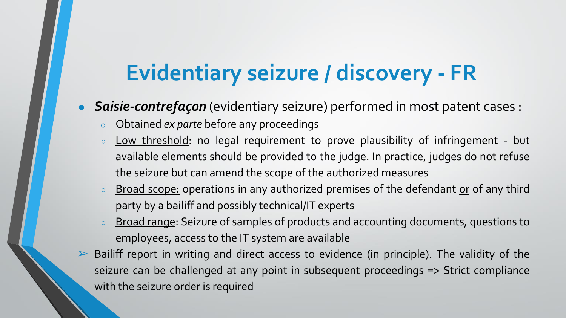## **Evidentiary seizure / discovery - FR**

**Saisie-contrefaçon** (evidentiary seizure) performed in most patent cases :

- Obtained *ex parte* before any proceedings
- Low threshold: no legal requirement to prove plausibility of infringement but available elements should be provided to the judge. In practice, judges do not refuse the seizure but can amend the scope of the authorized measures
- **Example 1** Broad scope: operations in any authorized premises of the defendant or of any third party by a bailiff and possibly technical/IT experts
- <sup>o</sup> Broad range: Seizure of samples of products and accounting documents, questions to employees, access to the IT system are available
- ➢ Bailiff report in writing and direct access to evidence (in principle). The validity of the seizure can be challenged at any point in subsequent proceedings => Strict compliance with the seizure order is required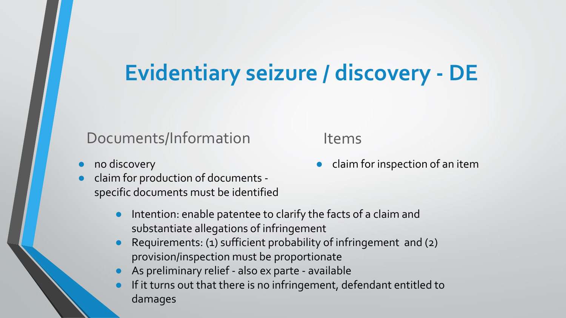## **Evidentiary seizure / discovery - DE**

#### Documents/Information

- no discovery
- claim for production of documents specific documents must be identified
	- Intention: enable patentee to clarify the facts of a claim and substantiate allegations of infringement
	- Requirements: (1) sufficient probability of infringement and (2) provision/inspection must be proportionate
	- As preliminary relief also ex parte available
	- If it turns out that there is no infringement, defendant entitled to damages

Items

claim for inspection of an item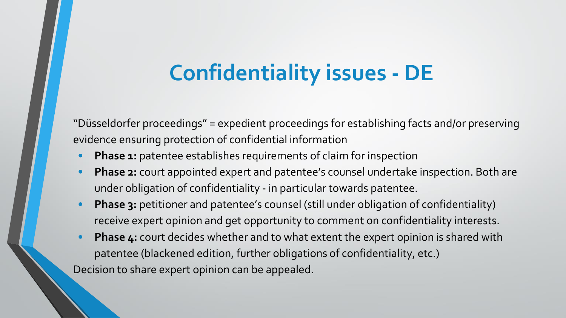## **Confidentiality issues - DE**

"Düsseldorfer proceedings" = expedient proceedings for establishing facts and/or preserving evidence ensuring protection of confidential information

- **Phase 1:** patentee establishes requirements of claim for inspection
- **Phase 2:** court appointed expert and patentee's counsel undertake inspection. Both are under obligation of confidentiality - in particular towards patentee.
- **Phase 3:** petitioner and patentee's counsel (still under obligation of confidentiality) receive expert opinion and get opportunity to comment on confidentiality interests.
- **Phase 4:** court decides whether and to what extent the expert opinion is shared with patentee (blackened edition, further obligations of confidentiality, etc.) Decision to share expert opinion can be appealed.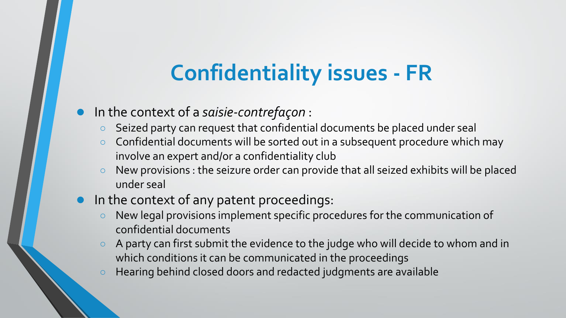## **Confidentiality issues - FR**

#### ● In the context of a *saisie-contrefaçon* :

- Seized party can request that confidential documents be placed under seal
- Confidential documents will be sorted out in a subsequent procedure which may involve an expert and/or a confidentiality club
- New provisions : the seizure order can provide that all seized exhibits will be placed under seal
- In the context of any patent proceedings:
	- New legal provisions implement specific procedures for the communication of confidential documents
	- A party can first submit the evidence to the judge who will decide to whom and in which conditions it can be communicated in the proceedings
	- Hearing behind closed doors and redacted judgments are available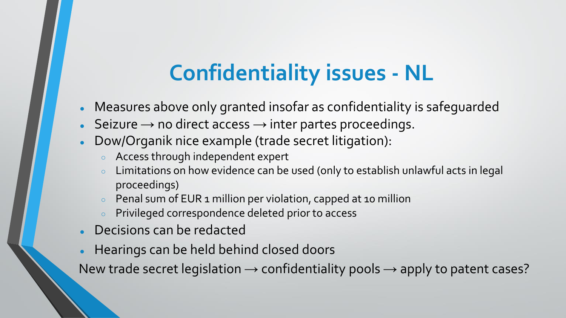## **Confidentiality issues - NL**

- Measures above only granted insofar as confidentiality is safequarded
- Seizure  $\rightarrow$  no direct access  $\rightarrow$  inter partes proceedings.
- Dow/Organik nice example (trade secret litigation):
	- Access through independent expert
	- Limitations on how evidence can be used (only to establish unlawful acts in legal proceedings)
	- Penal sum of EUR 1 million per violation, capped at 10 million
	- Privileged correspondence deleted prior to access
- **Decisions can be redacted**
- Hearings can be held behind closed doors

New trade secret legislation  $\rightarrow$  confidentiality pools  $\rightarrow$  apply to patent cases?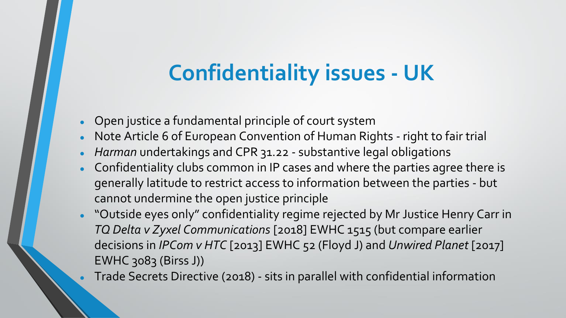## **Confidentiality issues - UK**

- Open justice a fundamental principle of court system
- Note Article 6 of European Convention of Human Rights right to fair trial
- Harman undertakings and CPR 31.22 substantive legal obligations
- Confidentiality clubs common in IP cases and where the parties agree there is generally latitude to restrict access to information between the parties - but cannot undermine the open justice principle
- "Outside eyes only" confidentiality regime rejected by Mr Justice Henry Carr in *TQ Delta v Zyxel Communications* [2018] EWHC 1515 (but compare earlier decisions in *IPCom v HTC* [2013] EWHC 52 (Floyd J) and *Unwired Planet* [2017] EWHC 3083 (Birss J))

● Trade Secrets Directive (2018) - sits in parallel with confidential information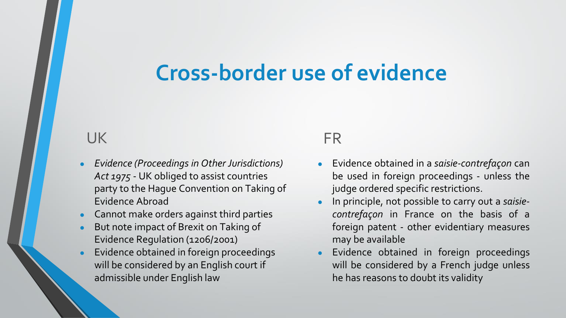### **Cross-border use of evidence**

#### UK

- *Evidence (Proceedings in Other Jurisdictions) Act 1975* - UK obliged to assist countries party to the Hague Convention on Taking of Evidence Abroad
- **Cannot make orders against third parties**
- But note impact of Brexit on Taking of Evidence Regulation (1206/2001)
- Evidence obtained in foreign proceedings will be considered by an English court if admissible under English law

#### FR

- Evidence obtained in a *saisie-contrefaçon* can be used in foreign proceedings - unless the judge ordered specific restrictions.
- In principle, not possible to carry out a *saisiecontrefaçon* in France on the basis of a foreign patent - other evidentiary measures may be available
- Evidence obtained in foreign proceedings will be considered by a French judge unless he has reasons to doubt its validity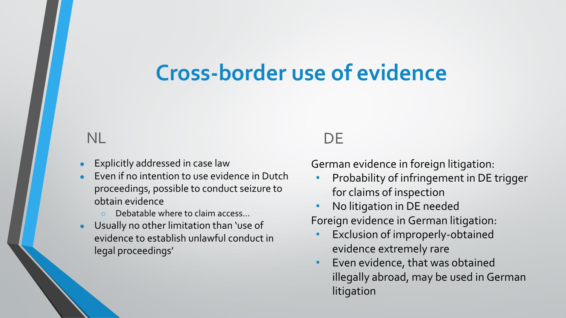### **Cross-border use of evidence**

#### NL

- **Explicitly addressed in case law**
- Even if no intention to use evidence in Dutch proceedings, possible to conduct seizure to obtain evidence
	- Debatable where to claim access...
- Usually no other limitation than 'use of evidence to establish unlawful conduct in legal proceedings'

#### **DE**

German evidence in foreign litigation:

- Probability of infringement in DE trigger for claims of inspection
- No litigation in DE needed Foreign evidence in German litigation:
	- Exclusion of improperly-obtained evidence extremely rare
- Even evidence, that was obtained illegally abroad, may be used in German litigation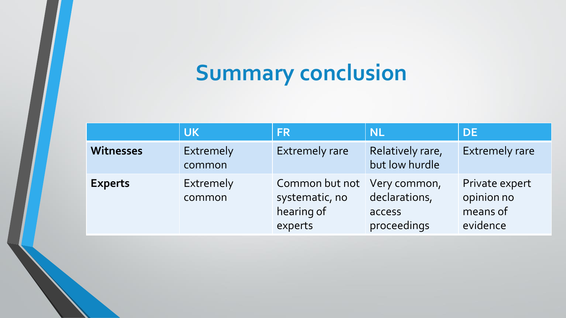# **Summary conclusion**

|                  | <b>UK</b>           | <b>FR</b>                                                              | <b>NL</b>                              | <b>DE</b>                                            |
|------------------|---------------------|------------------------------------------------------------------------|----------------------------------------|------------------------------------------------------|
| <b>Witnesses</b> | Extremely<br>common | <b>Extremely rare</b>                                                  | Relatively rare,<br>but low hurdle     | <b>Extremely rare</b>                                |
| <b>Experts</b>   | Extremely<br>common | Common but not Very common,<br>systematic, no<br>hearing of<br>experts | declarations,<br>access<br>proceedings | Private expert<br>opinion no<br>means of<br>evidence |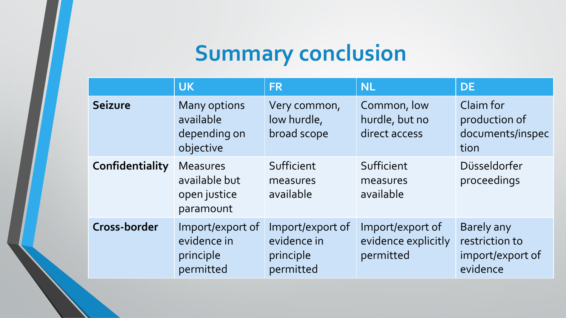# **Summary conclusion**

|                 | <b>UK</b>                                                     | <b>FR</b>                                                 | <b>NL</b>                                            | <b>DE</b>                                                    |
|-----------------|---------------------------------------------------------------|-----------------------------------------------------------|------------------------------------------------------|--------------------------------------------------------------|
| <b>Seizure</b>  | <b>Many options</b><br>available<br>depending on<br>objective | Very common,<br>low hurdle,<br>broad scope                | Common, low<br>hurdle, but no<br>direct access       | Claim for<br>production of<br>documents/inspec<br>tion       |
| Confidentiality | <b>Measures</b><br>available but<br>open justice<br>paramount | Sufficient<br>measures<br>available                       | Sufficient<br>measures<br>available                  | Düsseldorfer<br>proceedings                                  |
| Cross-border    | Import/export of<br>evidence in<br>principle<br>permitted     | Import/export of<br>evidence in<br>principle<br>permitted | Import/export of<br>evidence explicitly<br>permitted | Barely any<br>restriction to<br>import/export of<br>evidence |